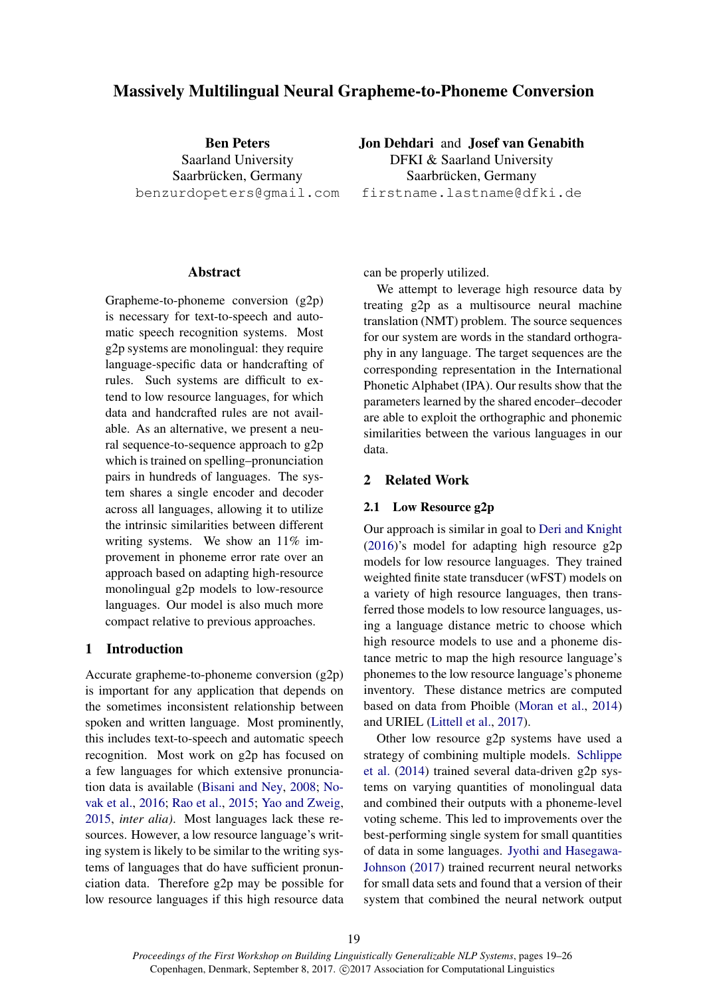# Massively Multilingual Neural Grapheme-to-Phoneme Conversion

Ben Peters Saarland University Saarbrücken, Germany benzurdopeters@gmail.com

# Abstract

Grapheme-to-phoneme conversion (g2p) is necessary for text-to-speech and automatic speech recognition systems. Most g2p systems are monolingual: they require language-specific data or handcrafting of rules. Such systems are difficult to extend to low resource languages, for which data and handcrafted rules are not available. As an alternative, we present a neural sequence-to-sequence approach to g2p which is trained on spelling–pronunciation pairs in hundreds of languages. The system shares a single encoder and decoder across all languages, allowing it to utilize the intrinsic similarities between different writing systems. We show an 11% improvement in phoneme error rate over an approach based on adapting high-resource monolingual g2p models to low-resource languages. Our model is also much more compact relative to previous approaches.

# 1 Introduction

Accurate grapheme-to-phoneme conversion (g2p) is important for any application that depends on the sometimes inconsistent relationship between spoken and written language. Most prominently, this includes text-to-speech and automatic speech recognition. Most work on g2p has focused on a few languages for which extensive pronunciation data is available (Bisani and Ney, 2008; Novak et al., 2016; Rao et al., 2015; Yao and Zweig, 2015, *inter alia)*. Most languages lack these resources. However, a low resource language's writing system is likely to be similar to the writing systems of languages that do have sufficient pronunciation data. Therefore g2p may be possible for low resource languages if this high resource data Jon Dehdari and Josef van Genabith DFKI & Saarland University Saarbrücken, Germany

firstname.lastname@dfki.de

can be properly utilized.

We attempt to leverage high resource data by treating g2p as a multisource neural machine translation (NMT) problem. The source sequences for our system are words in the standard orthography in any language. The target sequences are the corresponding representation in the International Phonetic Alphabet (IPA). Our results show that the parameters learned by the shared encoder–decoder are able to exploit the orthographic and phonemic similarities between the various languages in our data.

# 2 Related Work

#### 2.1 Low Resource g2p

Our approach is similar in goal to Deri and Knight (2016)'s model for adapting high resource g2p models for low resource languages. They trained weighted finite state transducer (wFST) models on a variety of high resource languages, then transferred those models to low resource languages, using a language distance metric to choose which high resource models to use and a phoneme distance metric to map the high resource language's phonemes to the low resource language's phoneme inventory. These distance metrics are computed based on data from Phoible (Moran et al., 2014) and URIEL (Littell et al., 2017).

Other low resource g2p systems have used a strategy of combining multiple models. Schlippe et al. (2014) trained several data-driven g2p systems on varying quantities of monolingual data and combined their outputs with a phoneme-level voting scheme. This led to improvements over the best-performing single system for small quantities of data in some languages. Jyothi and Hasegawa-Johnson (2017) trained recurrent neural networks for small data sets and found that a version of their system that combined the neural network output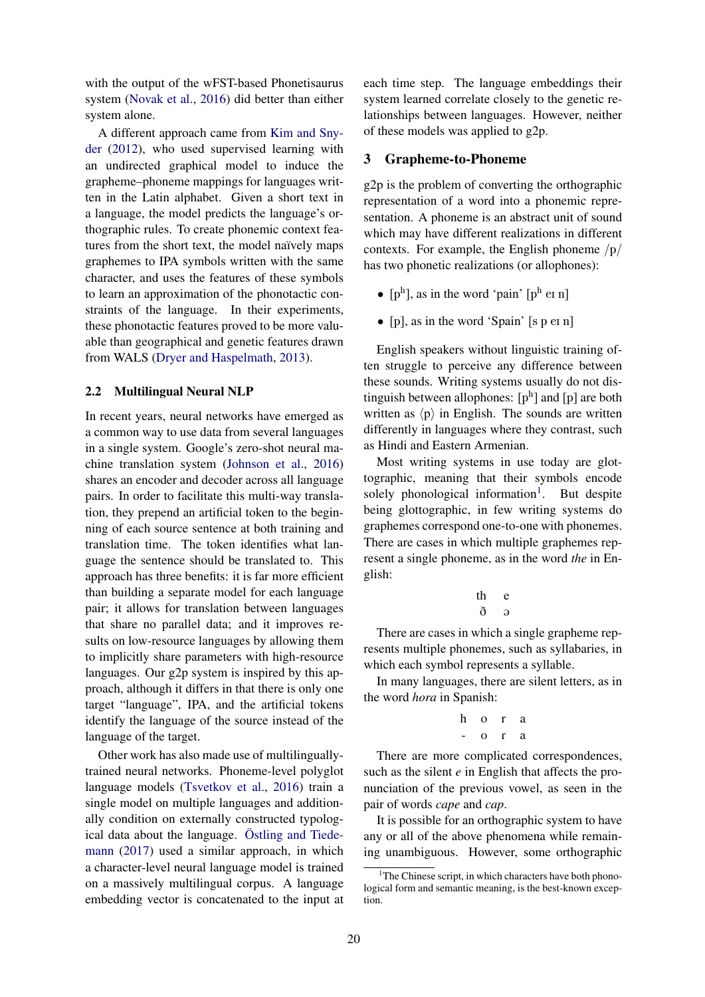with the output of the wFST-based Phonetisaurus system (Novak et al., 2016) did better than either system alone.

A different approach came from Kim and Snyder (2012), who used supervised learning with an undirected graphical model to induce the grapheme–phoneme mappings for languages written in the Latin alphabet. Given a short text in a language, the model predicts the language's orthographic rules. To create phonemic context features from the short text, the model naïvely maps graphemes to IPA symbols written with the same character, and uses the features of these symbols to learn an approximation of the phonotactic constraints of the language. In their experiments, these phonotactic features proved to be more valuable than geographical and genetic features drawn from WALS (Dryer and Haspelmath, 2013).

### 2.2 Multilingual Neural NLP

In recent years, neural networks have emerged as a common way to use data from several languages in a single system. Google's zero-shot neural machine translation system (Johnson et al., 2016) shares an encoder and decoder across all language pairs. In order to facilitate this multi-way translation, they prepend an artificial token to the beginning of each source sentence at both training and translation time. The token identifies what language the sentence should be translated to. This approach has three benefits: it is far more efficient than building a separate model for each language pair; it allows for translation between languages that share no parallel data; and it improves results on low-resource languages by allowing them to implicitly share parameters with high-resource languages. Our g2p system is inspired by this approach, although it differs in that there is only one target "language", IPA, and the artificial tokens identify the language of the source instead of the language of the target.

Other work has also made use of multilinguallytrained neural networks. Phoneme-level polyglot language models (Tsvetkov et al., 2016) train a single model on multiple languages and additionally condition on externally constructed typological data about the language. Östling and Tiedemann (2017) used a similar approach, in which a character-level neural language model is trained on a massively multilingual corpus. A language embedding vector is concatenated to the input at

each time step. The language embeddings their system learned correlate closely to the genetic relationships between languages. However, neither of these models was applied to g2p.

### 3 Grapheme-to-Phoneme

g2p is the problem of converting the orthographic representation of a word into a phonemic representation. A phoneme is an abstract unit of sound which may have different realizations in different contexts. For example, the English phoneme  $/p/$ has two phonetic realizations (or allophones):

- $[p^h]$ , as in the word 'pain'  $[p^h \text{ er } n]$
- [p], as in the word 'Spain'  $[s p e]$  n]

English speakers without linguistic training often struggle to perceive any difference between these sounds. Writing systems usually do not distinguish between allophones:  $[p^h]$  and  $[p]$  are both written as  $\langle p \rangle$  in English. The sounds are written differently in languages where they contrast, such as Hindi and Eastern Armenian.

Most writing systems in use today are glottographic, meaning that their symbols encode solely phonological information<sup>1</sup>. But despite being glottographic, in few writing systems do graphemes correspond one-to-one with phonemes. There are cases in which multiple graphemes represent a single phoneme, as in the word *the* in English:

$$
\begin{matrix} th & e\\ \delta & \mathsf{a} \end{matrix}
$$

There are cases in which a single grapheme represents multiple phonemes, such as syllabaries, in which each symbol represents a syllable.

In many languages, there are silent letters, as in the word *hora* in Spanish:

$$
\begin{matrix} h & o & r & a \\ - & o & r & a \end{matrix}
$$

There are more complicated correspondences, such as the silent *e* in English that affects the pronunciation of the previous vowel, as seen in the pair of words *cape* and *cap*.

It is possible for an orthographic system to have any or all of the above phenomena while remaining unambiguous. However, some orthographic

 $1$ <sup>1</sup>The Chinese script, in which characters have both phonological form and semantic meaning, is the best-known exception.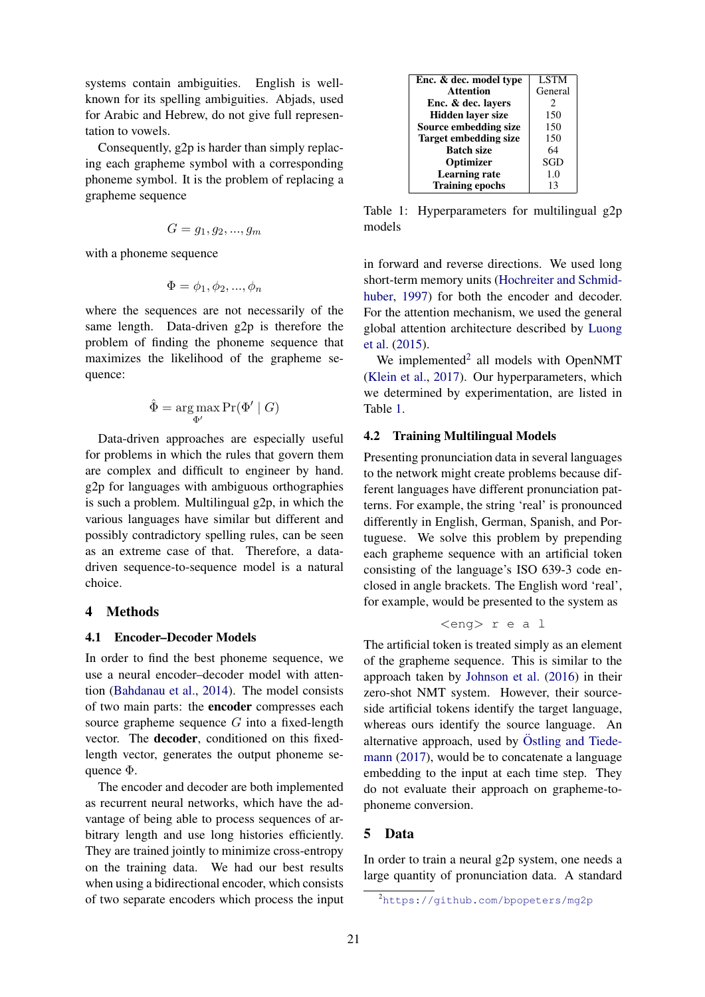systems contain ambiguities. English is wellknown for its spelling ambiguities. Abjads, used for Arabic and Hebrew, do not give full representation to vowels.

Consequently, g2p is harder than simply replacing each grapheme symbol with a corresponding phoneme symbol. It is the problem of replacing a grapheme sequence

$$
G=g_1,g_2,...,g_m
$$

with a phoneme sequence

$$
\Phi = \phi_1, \phi_2, ..., \phi_n
$$

where the sequences are not necessarily of the same length. Data-driven g2p is therefore the problem of finding the phoneme sequence that maximizes the likelihood of the grapheme sequence:

$$
\hat{\Phi} = \argmax_{\Phi'} \Pr(\Phi' \mid G)
$$

Data-driven approaches are especially useful for problems in which the rules that govern them are complex and difficult to engineer by hand. g2p for languages with ambiguous orthographies is such a problem. Multilingual g2p, in which the various languages have similar but different and possibly contradictory spelling rules, can be seen as an extreme case of that. Therefore, a datadriven sequence-to-sequence model is a natural choice.

# 4 Methods

#### 4.1 Encoder–Decoder Models

In order to find the best phoneme sequence, we use a neural encoder–decoder model with attention (Bahdanau et al., 2014). The model consists of two main parts: the encoder compresses each source grapheme sequence  $G$  into a fixed-length vector. The decoder, conditioned on this fixedlength vector, generates the output phoneme sequence  $\Phi$ .

The encoder and decoder are both implemented as recurrent neural networks, which have the advantage of being able to process sequences of arbitrary length and use long histories efficiently. They are trained jointly to minimize cross-entropy on the training data. We had our best results when using a bidirectional encoder, which consists of two separate encoders which process the input

| Enc. & dec. model type       | <b>LSTM</b> |
|------------------------------|-------------|
| <b>Attention</b>             | General     |
| Enc. & dec. layers           | 2           |
| <b>Hidden laver size</b>     | 150         |
| Source embedding size        | 150         |
| <b>Target embedding size</b> | 150         |
| <b>Batch size</b>            | 64          |
| Optimizer                    | SGD         |
| <b>Learning rate</b>         | 1.0         |
| <b>Training epochs</b>       | 13          |

Table 1: Hyperparameters for multilingual g2p models

in forward and reverse directions. We used long short-term memory units (Hochreiter and Schmidhuber, 1997) for both the encoder and decoder. For the attention mechanism, we used the general global attention architecture described by Luong et al. (2015).

We implemented<sup>2</sup> all models with OpenNMT (Klein et al., 2017). Our hyperparameters, which we determined by experimentation, are listed in Table 1.

### 4.2 Training Multilingual Models

Presenting pronunciation data in several languages to the network might create problems because different languages have different pronunciation patterns. For example, the string 'real' is pronounced differently in English, German, Spanish, and Portuguese. We solve this problem by prepending each grapheme sequence with an artificial token consisting of the language's ISO 639-3 code enclosed in angle brackets. The English word 'real', for example, would be presented to the system as

$$
\langle eng \rangle
$$
r e a l

The artificial token is treated simply as an element of the grapheme sequence. This is similar to the approach taken by Johnson et al. (2016) in their zero-shot NMT system. However, their sourceside artificial tokens identify the target language, whereas ours identify the source language. An alternative approach, used by Östling and Tiedemann (2017), would be to concatenate a language embedding to the input at each time step. They do not evaluate their approach on grapheme-tophoneme conversion.

# 5 Data

In order to train a neural g2p system, one needs a large quantity of pronunciation data. A standard

<sup>2</sup>https://github.com/bpopeters/mg2p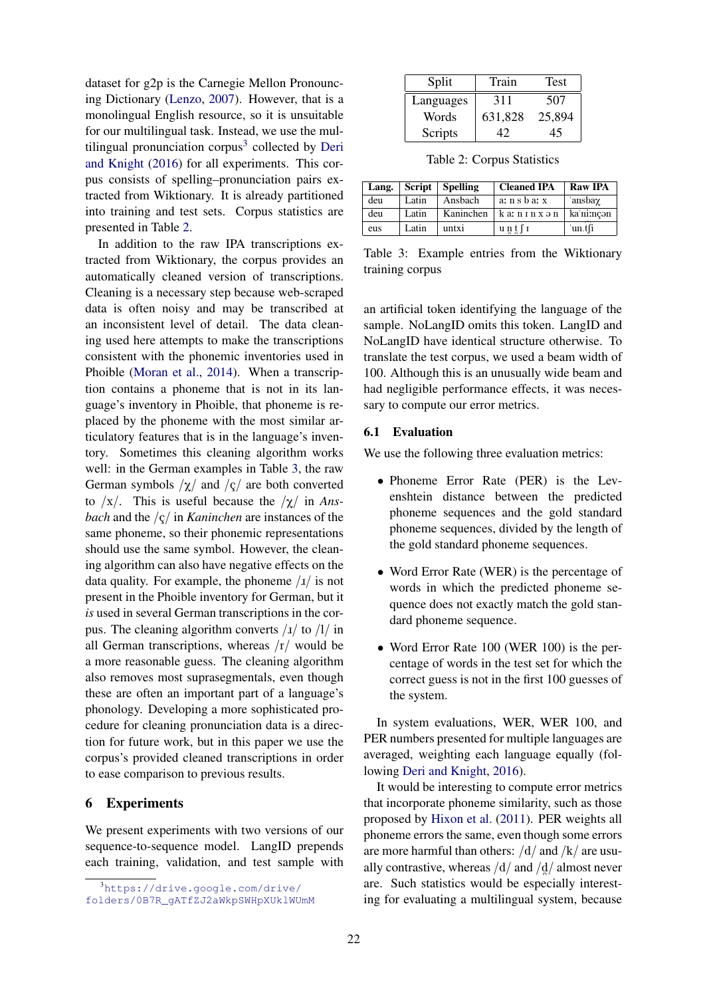dataset for g2p is the Carnegie Mellon Pronouncing Dictionary (Lenzo, 2007). However, that is a monolingual English resource, so it is unsuitable for our multilingual task. Instead, we use the multilingual pronunciation corpus<sup>3</sup> collected by Deri and Knight (2016) for all experiments. This corpus consists of spelling–pronunciation pairs extracted from Wiktionary. It is already partitioned into training and test sets. Corpus statistics are presented in Table 2.

In addition to the raw IPA transcriptions extracted from Wiktionary, the corpus provides an automatically cleaned version of transcriptions. Cleaning is a necessary step because web-scraped data is often noisy and may be transcribed at an inconsistent level of detail. The data cleaning used here attempts to make the transcriptions consistent with the phonemic inventories used in Phoible (Moran et al., 2014). When a transcription contains a phoneme that is not in its language's inventory in Phoible, that phoneme is replaced by the phoneme with the most similar articulatory features that is in the language's inventory. Sometimes this cleaning algorithm works well: in the German examples in Table 3, the raw German symbols  $/\chi$  and  $/\varsigma$  are both converted to  $/x/$ . This is useful because the  $/y/$  in Ans*bach* and the /ç/ in *Kaninchen* are instances of the same phoneme, so their phonemic representations should use the same symbol. However, the cleaning algorithm can also have negative effects on the data quality. For example, the phoneme  $\frac{1}{1}$  is not present in the Phoible inventory for German, but it *is* used in several German transcriptions in the corpus. The cleaning algorithm converts  $\frac{1}{x}$  to  $\frac{1}{\ln x}$ all German transcriptions, whereas  $\frac{r}{\sqrt{r}}$  would be a more reasonable guess. The cleaning algorithm also removes most suprasegmentals, even though these are often an important part of a language's phonology. Developing a more sophisticated procedure for cleaning pronunciation data is a direction for future work, but in this paper we use the corpus's provided cleaned transcriptions in order to ease comparison to previous results.

### 6 Experiments

We present experiments with two versions of our sequence-to-sequence model. LangID prepends each training, validation, and test sample with

| Split     | Train   | Test   |
|-----------|---------|--------|
| Languages | 311     | 507    |
| Words     | 631,828 | 25,894 |
| Scripts   |         | 45     |

Table 2: Corpus Statistics

| Lang. | Script | <b>Spelling</b> | <b>Cleaned IPA</b>               | <b>Raw IPA</b> |
|-------|--------|-----------------|----------------------------------|----------------|
| deu   | Latin  | Ansbach         | a: n s b a: x                    | ansbaγ         |
| deu   | Latin  | Kaninchen       | k a: n ɪ n x ə n                 | ka'ni:ncon     |
| eus   | Latin  | untxi           | $u \, n \, t \, \lceil r \rceil$ | 'un.t∫i        |

Table 3: Example entries from the Wiktionary training corpus

an artificial token identifying the language of the sample. NoLangID omits this token. LangID and NoLangID have identical structure otherwise. To translate the test corpus, we used a beam width of 100. Although this is an unusually wide beam and had negligible performance effects, it was necessary to compute our error metrics.

# 6.1 Evaluation

We use the following three evaluation metrics:

- Phoneme Error Rate (PER) is the Levenshtein distance between the predicted phoneme sequences and the gold standard phoneme sequences, divided by the length of the gold standard phoneme sequences.
- Word Error Rate (WER) is the percentage of words in which the predicted phoneme sequence does not exactly match the gold standard phoneme sequence.
- Word Error Rate 100 (WER 100) is the percentage of words in the test set for which the correct guess is not in the first 100 guesses of the system.

In system evaluations, WER, WER 100, and PER numbers presented for multiple languages are averaged, weighting each language equally (following Deri and Knight, 2016).

It would be interesting to compute error metrics that incorporate phoneme similarity, such as those proposed by Hixon et al. (2011). PER weights all phoneme errors the same, even though some errors are more harmful than others:  $\frac{d}{dx}$  and  $\frac{k}{\pi}$  are usually contrastive, whereas  $\frac{d}{d}$  and  $\frac{d}{d}$  almost never are. Such statistics would be especially interesting for evaluating a multilingual system, because

<sup>3</sup>https://drive.google.com/drive/ folders/0B7R\_gATfZJ2aWkpSWHpXUklWUmM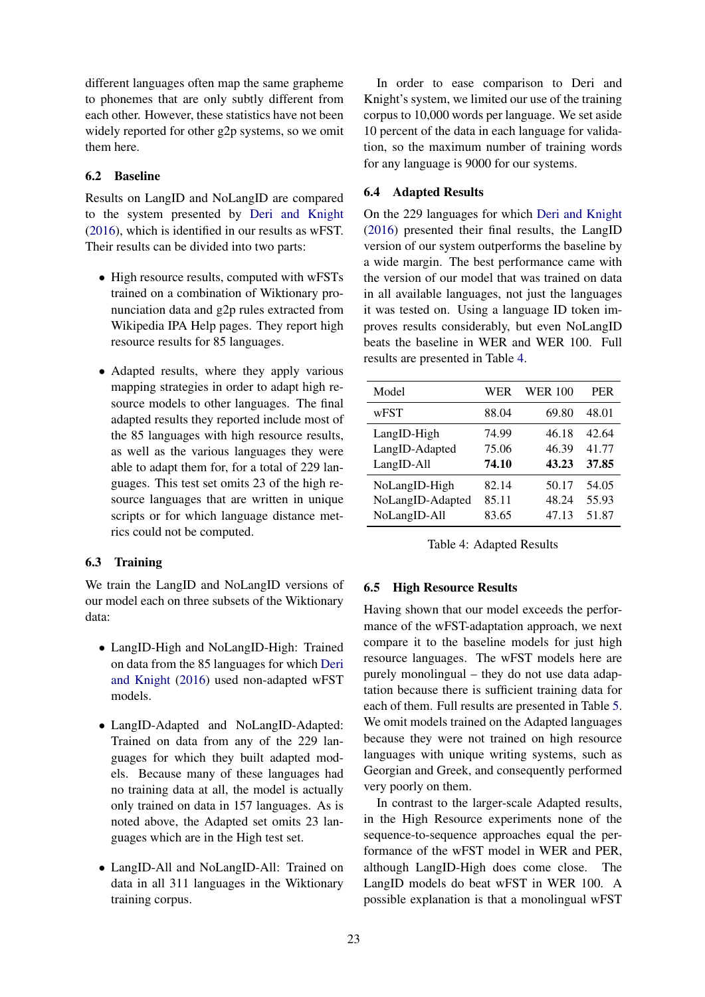different languages often map the same grapheme to phonemes that are only subtly different from each other. However, these statistics have not been widely reported for other g2p systems, so we omit them here.

# 6.2 Baseline

Results on LangID and NoLangID are compared to the system presented by Deri and Knight (2016), which is identified in our results as wFST. Their results can be divided into two parts:

- High resource results, computed with wFSTs trained on a combination of Wiktionary pronunciation data and g2p rules extracted from Wikipedia IPA Help pages. They report high resource results for 85 languages.
- Adapted results, where they apply various mapping strategies in order to adapt high resource models to other languages. The final adapted results they reported include most of the 85 languages with high resource results, as well as the various languages they were able to adapt them for, for a total of 229 languages. This test set omits 23 of the high resource languages that are written in unique scripts or for which language distance metrics could not be computed.

# 6.3 Training

We train the LangID and NoLangID versions of our model each on three subsets of the Wiktionary data:

- LangID-High and NoLangID-High: Trained on data from the 85 languages for which Deri and Knight (2016) used non-adapted wFST models.
- LangID-Adapted and NoLangID-Adapted: Trained on data from any of the 229 languages for which they built adapted models. Because many of these languages had no training data at all, the model is actually only trained on data in 157 languages. As is noted above, the Adapted set omits 23 languages which are in the High test set.
- LangID-All and NoLangID-All: Trained on data in all 311 languages in the Wiktionary training corpus.

In order to ease comparison to Deri and Knight's system, we limited our use of the training corpus to 10,000 words per language. We set aside 10 percent of the data in each language for validation, so the maximum number of training words for any language is 9000 for our systems.

### 6.4 Adapted Results

On the 229 languages for which Deri and Knight (2016) presented their final results, the LangID version of our system outperforms the baseline by a wide margin. The best performance came with the version of our model that was trained on data in all available languages, not just the languages it was tested on. Using a language ID token improves results considerably, but even NoLangID beats the baseline in WER and WER 100. Full results are presented in Table 4.

| Model                                             | WER                     | <b>WER 100</b>          | <b>PER</b>              |
|---------------------------------------------------|-------------------------|-------------------------|-------------------------|
| wFST                                              | 88.04                   | 69.80                   | 48.01                   |
| LangID-High<br>LangID-Adapted<br>LangID-All       | 74.99<br>75.06<br>74.10 | 46.18<br>46.39<br>43.23 | 42.64<br>41.77<br>37.85 |
| NoLangID-High<br>NoLangID-Adapted<br>NoLangID-All | 82.14<br>85.11<br>83.65 | 50.17<br>48.24<br>47.13 | 54.05<br>55.93<br>51.87 |

|  | Table 4: Adapted Results |  |
|--|--------------------------|--|
|--|--------------------------|--|

## 6.5 High Resource Results

Having shown that our model exceeds the performance of the wFST-adaptation approach, we next compare it to the baseline models for just high resource languages. The wFST models here are purely monolingual – they do not use data adaptation because there is sufficient training data for each of them. Full results are presented in Table 5. We omit models trained on the Adapted languages because they were not trained on high resource languages with unique writing systems, such as Georgian and Greek, and consequently performed very poorly on them.

In contrast to the larger-scale Adapted results, in the High Resource experiments none of the sequence-to-sequence approaches equal the performance of the wFST model in WER and PER, although LangID-High does come close. The LangID models do beat wFST in WER 100. A possible explanation is that a monolingual wFST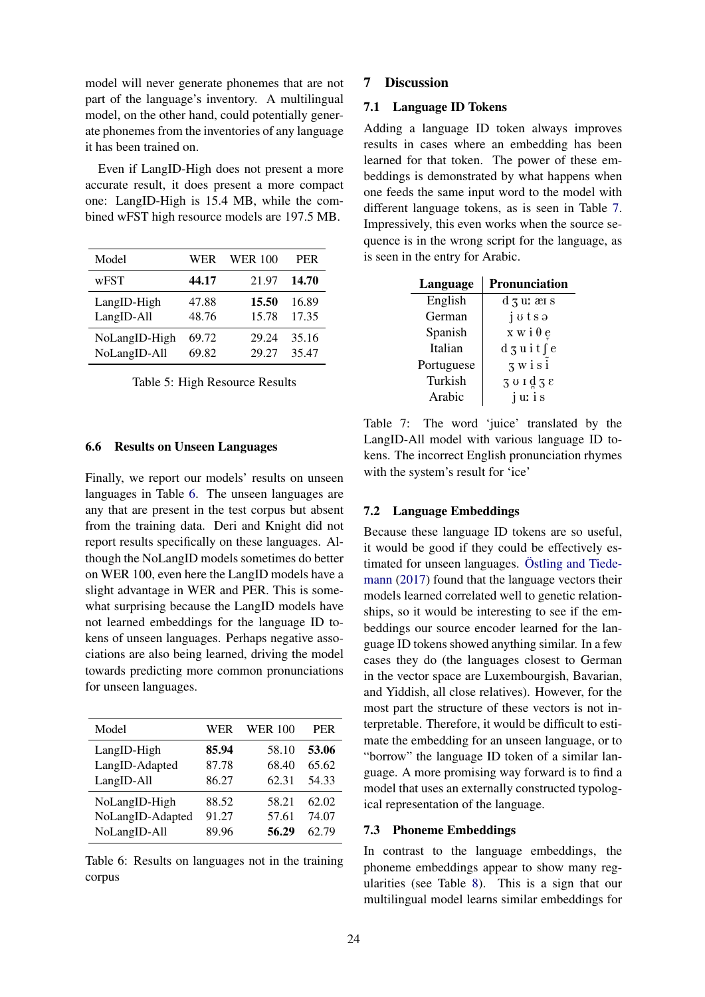model will never generate phonemes that are not part of the language's inventory. A multilingual model, on the other hand, could potentially generate phonemes from the inventories of any language it has been trained on.

Even if LangID-High does not present a more accurate result, it does present a more compact one: LangID-High is 15.4 MB, while the combined wFST high resource models are 197.5 MB.

| Model         | WER   | <b>WER 100</b> | <b>PER</b> |
|---------------|-------|----------------|------------|
| wFST          | 44.17 | 21.97          | 14.70      |
| LangID-High   | 47.88 | 15.50          | 16.89      |
| LangID-All    | 48.76 | 15.78          | 17.35      |
| NoLangID-High | 69.72 | 29.24          | 35.16      |
| NoLangID-All  | 69.82 | 29.27          | 35.47      |

# 6.6 Results on Unseen Languages

Finally, we report our models' results on unseen languages in Table 6. The unseen languages are any that are present in the test corpus but absent from the training data. Deri and Knight did not report results specifically on these languages. Although the NoLangID models sometimes do better on WER 100, even here the LangID models have a slight advantage in WER and PER. This is somewhat surprising because the LangID models have not learned embeddings for the language ID tokens of unseen languages. Perhaps negative associations are also being learned, driving the model towards predicting more common pronunciations for unseen languages.

| Model            | WER   | <b>WER 100</b> | <b>PER</b> |
|------------------|-------|----------------|------------|
| LangID-High      | 85.94 | 58.10          | 53.06      |
| LangID-Adapted   | 87.78 | 68.40          | 65.62      |
| LangID-All       | 86.27 | 62.31          | 54.33      |
| NoLangID-High    | 88.52 | 58.21          | 62.02      |
| NoLangID-Adapted | 91.27 | 57.61          | 74.07      |
| NoLangID-All     | 89.96 | 56.29          | 62.79      |

Table 6: Results on languages not in the training corpus

### 7 Discussion

# 7.1 Language ID Tokens

Adding a language ID token always improves results in cases where an embedding has been learned for that token. The power of these embeddings is demonstrated by what happens when one feeds the same input word to the model with different language tokens, as is seen in Table 7. Impressively, this even works when the source sequence is in the wrong script for the language, as is seen in the entry for Arabic.

| Language   | <b>Pronunciation</b>  |
|------------|-----------------------|
| English    | d 3 u: æı s           |
| German     | jotsa                 |
| Spanish    | $x \le i \theta e$    |
| Italian    | $d_5$ uitse           |
| Portuguese | $3 \times i \times i$ |
| Turkish    | 301938                |
| Arabic     | juris                 |

Table 7: The word 'juice' translated by the LangID-All model with various language ID tokens. The incorrect English pronunciation rhymes with the system's result for 'ice'

### 7.2 Language Embeddings

Because these language ID tokens are so useful, it would be good if they could be effectively estimated for unseen languages. Östling and Tiedemann (2017) found that the language vectors their models learned correlated well to genetic relationships, so it would be interesting to see if the embeddings our source encoder learned for the language ID tokens showed anything similar. In a few cases they do (the languages closest to German in the vector space are Luxembourgish, Bavarian, and Yiddish, all close relatives). However, for the most part the structure of these vectors is not interpretable. Therefore, it would be difficult to estimate the embedding for an unseen language, or to "borrow" the language ID token of a similar language. A more promising way forward is to find a model that uses an externally constructed typological representation of the language.

# 7.3 Phoneme Embeddings

In contrast to the language embeddings, the phoneme embeddings appear to show many regularities (see Table 8). This is a sign that our multilingual model learns similar embeddings for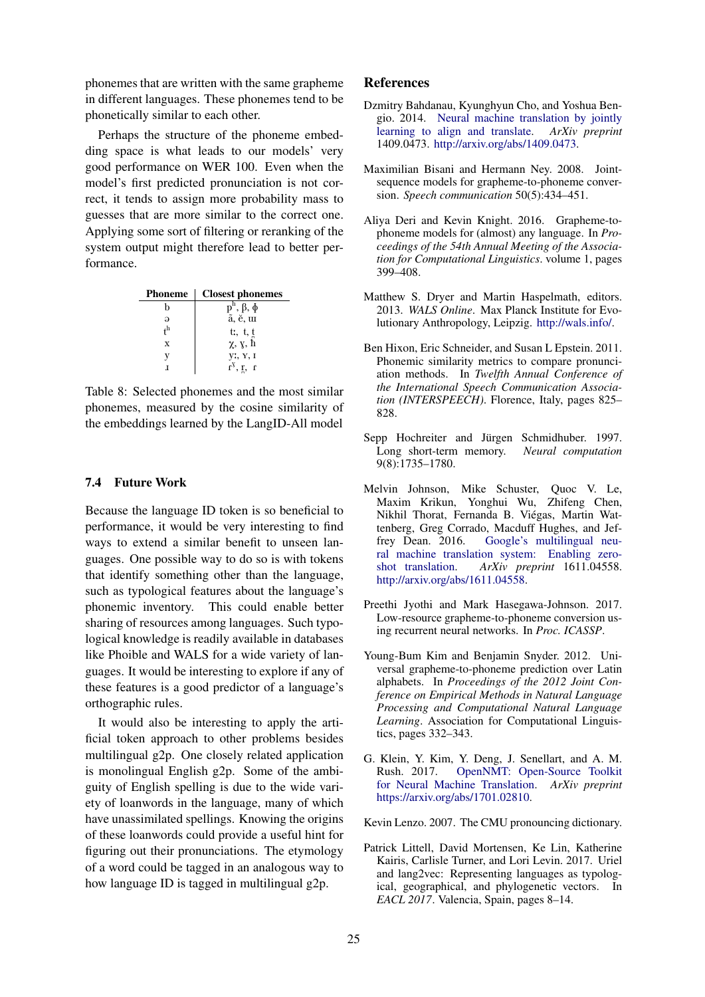phonemes that are written with the same grapheme in different languages. These phonemes tend to be phonetically similar to each other.

Perhaps the structure of the phoneme embedding space is what leads to our models' very good performance on WER 100. Even when the model's first predicted pronunciation is not correct, it tends to assign more probability mass to guesses that are more similar to the correct one. Applying some sort of filtering or reranking of the system output might therefore lead to better performance.

| <b>Phoneme</b>       | <b>Closest phonemes</b>                             |
|----------------------|-----------------------------------------------------|
| h                    | $\overline{p}^h$ , $\beta$ , $\overline{\phi}$      |
| $\Theta$             | ã, ĕ, u                                             |
| $\mathsf{t}^{\rm h}$ | tr, t, t<br>$\frac{t}{\chi}$ , $\frac{t}{\chi}$ , h |
| X                    |                                                     |
| v                    | y:, Y, I                                            |
|                      | $r^{\gamma}$ , r, r                                 |

Table 8: Selected phonemes and the most similar phonemes, measured by the cosine similarity of the embeddings learned by the LangID-All model

## 7.4 Future Work

Because the language ID token is so beneficial to performance, it would be very interesting to find ways to extend a similar benefit to unseen languages. One possible way to do so is with tokens that identify something other than the language, such as typological features about the language's phonemic inventory. This could enable better sharing of resources among languages. Such typological knowledge is readily available in databases like Phoible and WALS for a wide variety of languages. It would be interesting to explore if any of these features is a good predictor of a language's orthographic rules.

It would also be interesting to apply the artificial token approach to other problems besides multilingual g2p. One closely related application is monolingual English g2p. Some of the ambiguity of English spelling is due to the wide variety of loanwords in the language, many of which have unassimilated spellings. Knowing the origins of these loanwords could provide a useful hint for figuring out their pronunciations. The etymology of a word could be tagged in an analogous way to how language ID is tagged in multilingual g2p.

# References

- Dzmitry Bahdanau, Kyunghyun Cho, and Yoshua Bengio. 2014. Neural machine translation by jointly learning to align and translate. *ArXiv preprint* 1409.0473. http://arxiv.org/abs/1409.0473.
- Maximilian Bisani and Hermann Ney. 2008. Jointsequence models for grapheme-to-phoneme conversion. *Speech communication* 50(5):434–451.
- Aliya Deri and Kevin Knight. 2016. Grapheme-tophoneme models for (almost) any language. In *Proceedings of the 54th Annual Meeting of the Association for Computational Linguistics*. volume 1, pages 399–408.
- Matthew S. Dryer and Martin Haspelmath, editors. 2013. *WALS Online*. Max Planck Institute for Evolutionary Anthropology, Leipzig. http://wals.info/.
- Ben Hixon, Eric Schneider, and Susan L Epstein. 2011. Phonemic similarity metrics to compare pronunciation methods. In *Twelfth Annual Conference of the International Speech Communication Association (INTERSPEECH)*. Florence, Italy, pages 825– 828.
- Sepp Hochreiter and Jürgen Schmidhuber. 1997. Long short-term memory. *Neural computation* 9(8):1735–1780.
- Melvin Johnson, Mike Schuster, Quoc V. Le, Maxim Krikun, Yonghui Wu, Zhifeng Chen, Nikhil Thorat, Fernanda B. Viegas, Martin Wat- ´ tenberg, Greg Corrado, Macduff Hughes, and Jeffrey Dean. 2016. Google's multilingual neural machine translation system: Enabling zeroshot translation. *ArXiv preprint* 1611.04558. http://arxiv.org/abs/1611.04558.
- Preethi Jyothi and Mark Hasegawa-Johnson. 2017. Low-resource grapheme-to-phoneme conversion using recurrent neural networks. In *Proc. ICASSP*.
- Young-Bum Kim and Benjamin Snyder. 2012. Universal grapheme-to-phoneme prediction over Latin alphabets. In *Proceedings of the 2012 Joint Conference on Empirical Methods in Natural Language Processing and Computational Natural Language Learning*. Association for Computational Linguistics, pages 332–343.
- G. Klein, Y. Kim, Y. Deng, J. Senellart, and A. M. Rush. 2017. OpenNMT: Open-Source Toolkit for Neural Machine Translation. *ArXiv preprint* https://arxiv.org/abs/1701.02810.

Kevin Lenzo. 2007. The CMU pronouncing dictionary.

Patrick Littell, David Mortensen, Ke Lin, Katherine Kairis, Carlisle Turner, and Lori Levin. 2017. Uriel and lang2vec: Representing languages as typological, geographical, and phylogenetic vectors. In *EACL 2017*. Valencia, Spain, pages 8–14.